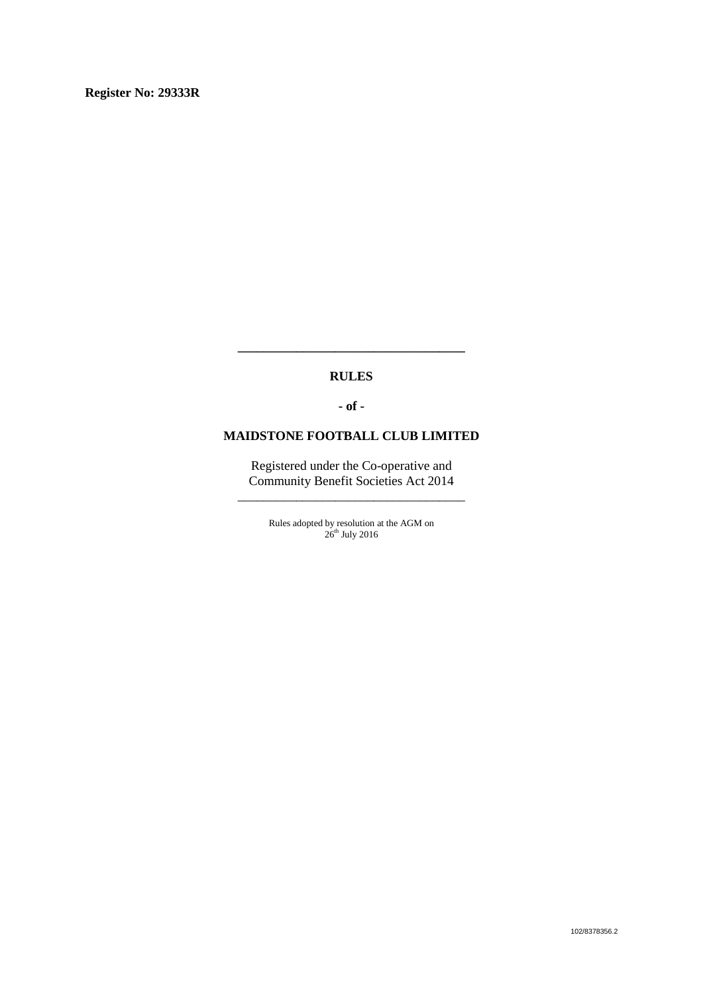#### **RULES**

**\_\_\_\_\_\_\_\_\_\_\_\_\_\_\_\_\_\_\_\_\_\_\_\_\_\_\_\_\_\_\_\_\_\_\_**

**- of -**

### **MAIDSTONE FOOTBALL CLUB LIMITED**

Registered under the Co-operative and Community Benefit Societies Act 2014 \_\_\_\_\_\_\_\_\_\_\_\_\_\_\_\_\_\_\_\_\_\_\_\_\_\_\_\_\_\_\_\_\_\_\_

> Rules adopted by resolution at the AGM on  $26<sup>th</sup>$  July 2016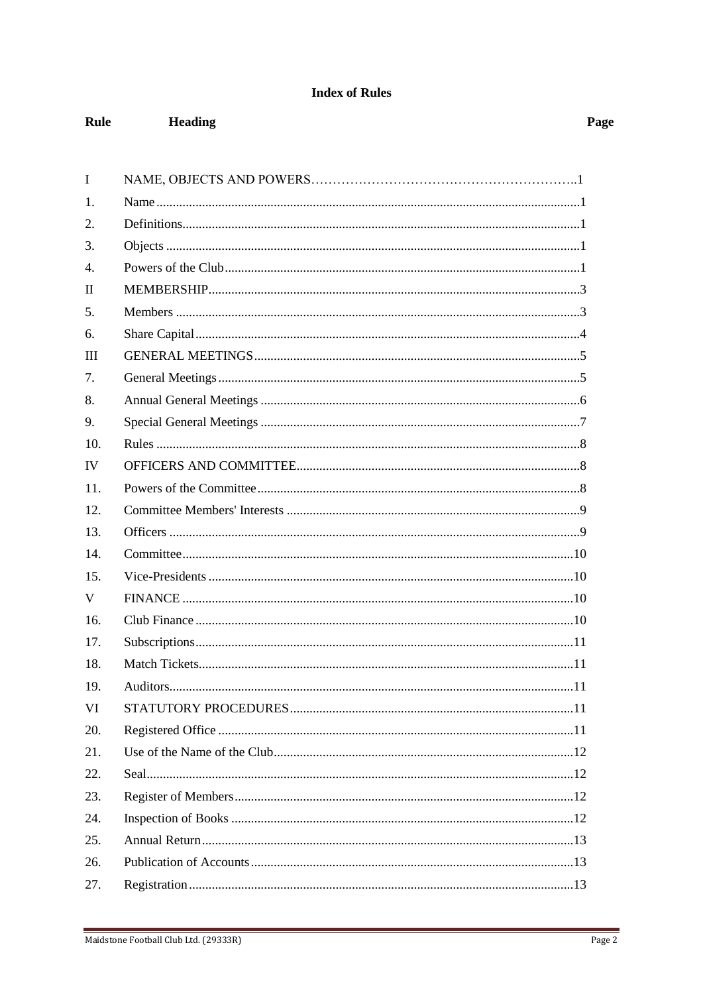## **Index of Rules**

Heading

Rule

| I                |  |
|------------------|--|
|                  |  |
| 1.               |  |
| 2.               |  |
| 3.               |  |
| $\overline{4}$ . |  |
| $\mathbf{I}$     |  |
| 5.               |  |
| 6.               |  |
| III              |  |
| 7.               |  |
| 8.               |  |
| 9.               |  |
| 10.              |  |
| IV               |  |
| 11.              |  |
| 12.              |  |
| 13.              |  |
| 14.              |  |
| 15.              |  |
| V                |  |
| 16.              |  |
| 17.              |  |
| 18.              |  |
| 19.              |  |
| VI               |  |
| 20.              |  |
| 21.              |  |
| 22.              |  |
| 23.              |  |
| 24.              |  |
| 25.              |  |
| 26.              |  |
| 27.              |  |

Page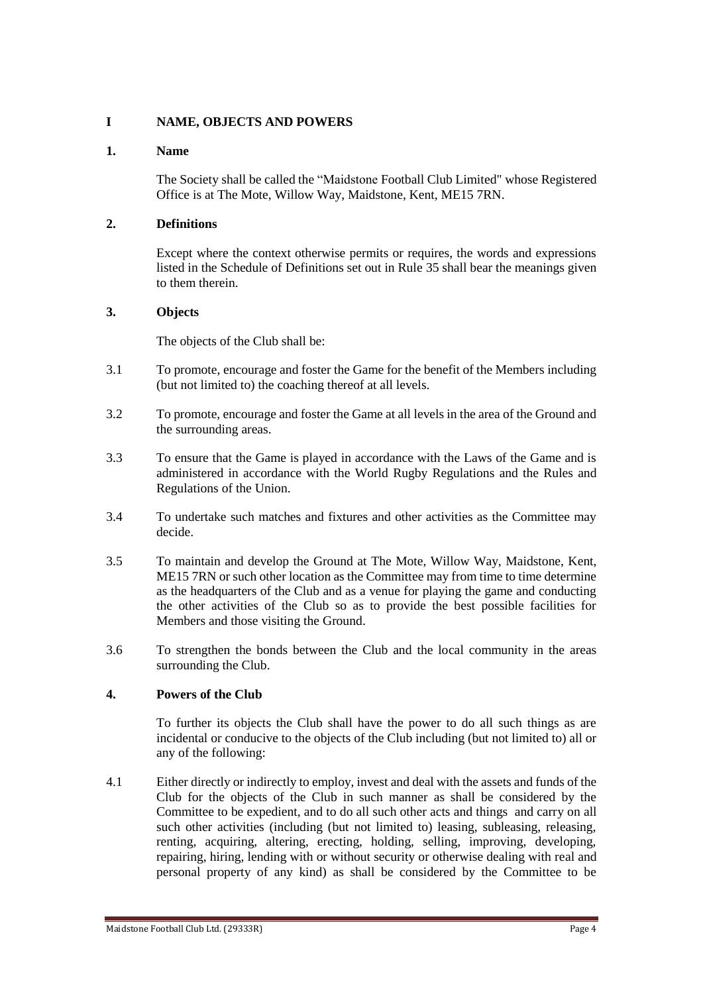## **I NAME, OBJECTS AND POWERS**

### **1. Name**

The Society shall be called the "Maidstone Football Club Limited" whose Registered Office is at The Mote, Willow Way, Maidstone, Kent, ME15 7RN.

## **2. Definitions**

Except where the context otherwise permits or requires, the words and expressions listed in the Schedule of Definitions set out in Rule 35 shall bear the meanings given to them therein.

## **3. Objects**

The objects of the Club shall be:

- 3.1 To promote, encourage and foster the Game for the benefit of the Members including (but not limited to) the coaching thereof at all levels.
- 3.2 To promote, encourage and foster the Game at all levels in the area of the Ground and the surrounding areas.
- 3.3 To ensure that the Game is played in accordance with the Laws of the Game and is administered in accordance with the World Rugby Regulations and the Rules and Regulations of the Union.
- 3.4 To undertake such matches and fixtures and other activities as the Committee may decide.
- 3.5 To maintain and develop the Ground at The Mote, Willow Way, Maidstone, Kent, ME15 7RN or such other location as the Committee may from time to time determine as the headquarters of the Club and as a venue for playing the game and conducting the other activities of the Club so as to provide the best possible facilities for Members and those visiting the Ground.
- 3.6 To strengthen the bonds between the Club and the local community in the areas surrounding the Club.

## **4. Powers of the Club**

To further its objects the Club shall have the power to do all such things as are incidental or conducive to the objects of the Club including (but not limited to) all or any of the following:

4.1 Either directly or indirectly to employ, invest and deal with the assets and funds of the Club for the objects of the Club in such manner as shall be considered by the Committee to be expedient, and to do all such other acts and things and carry on all such other activities (including (but not limited to) leasing, subleasing, releasing, renting, acquiring, altering, erecting, holding, selling, improving, developing, repairing, hiring, lending with or without security or otherwise dealing with real and personal property of any kind) as shall be considered by the Committee to be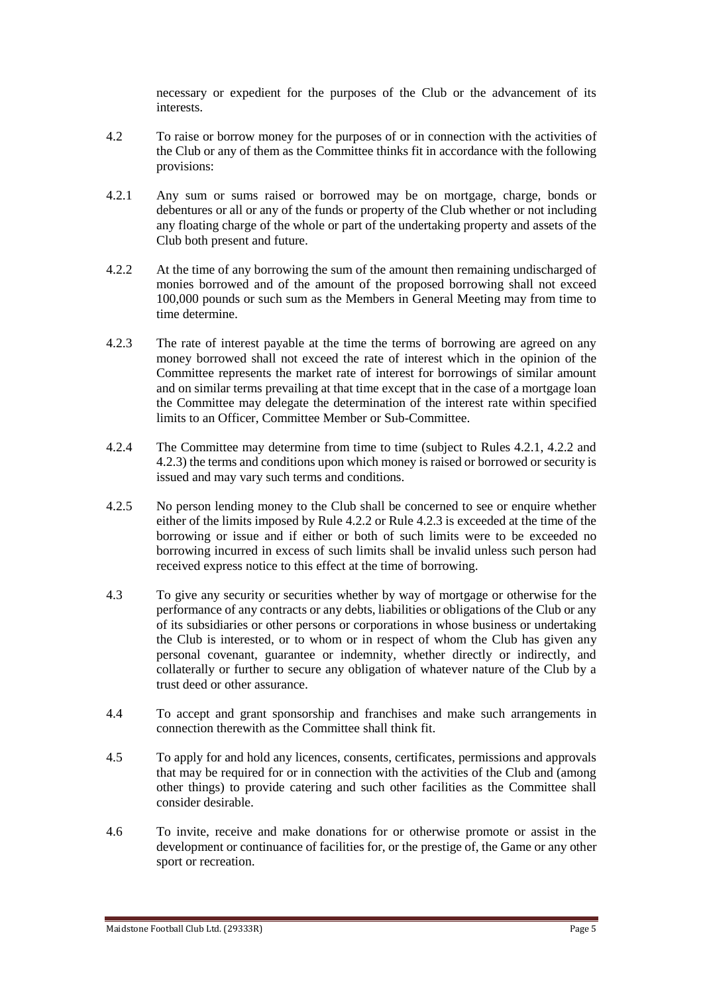necessary or expedient for the purposes of the Club or the advancement of its interests.

- 4.2 To raise or borrow money for the purposes of or in connection with the activities of the Club or any of them as the Committee thinks fit in accordance with the following provisions:
- 4.2.1 Any sum or sums raised or borrowed may be on mortgage, charge, bonds or debentures or all or any of the funds or property of the Club whether or not including any floating charge of the whole or part of the undertaking property and assets of the Club both present and future.
- 4.2.2 At the time of any borrowing the sum of the amount then remaining undischarged of monies borrowed and of the amount of the proposed borrowing shall not exceed 100,000 pounds or such sum as the Members in General Meeting may from time to time determine.
- 4.2.3 The rate of interest payable at the time the terms of borrowing are agreed on any money borrowed shall not exceed the rate of interest which in the opinion of the Committee represents the market rate of interest for borrowings of similar amount and on similar terms prevailing at that time except that in the case of a mortgage loan the Committee may delegate the determination of the interest rate within specified limits to an Officer, Committee Member or Sub-Committee.
- 4.2.4 The Committee may determine from time to time (subject to Rules 4.2.1, 4.2.2 and 4.2.3) the terms and conditions upon which money is raised or borrowed or security is issued and may vary such terms and conditions.
- 4.2.5 No person lending money to the Club shall be concerned to see or enquire whether either of the limits imposed by Rule 4.2.2 or Rule 4.2.3 is exceeded at the time of the borrowing or issue and if either or both of such limits were to be exceeded no borrowing incurred in excess of such limits shall be invalid unless such person had received express notice to this effect at the time of borrowing.
- 4.3 To give any security or securities whether by way of mortgage or otherwise for the performance of any contracts or any debts, liabilities or obligations of the Club or any of its subsidiaries or other persons or corporations in whose business or undertaking the Club is interested, or to whom or in respect of whom the Club has given any personal covenant, guarantee or indemnity, whether directly or indirectly, and collaterally or further to secure any obligation of whatever nature of the Club by a trust deed or other assurance.
- 4.4 To accept and grant sponsorship and franchises and make such arrangements in connection therewith as the Committee shall think fit.
- 4.5 To apply for and hold any licences, consents, certificates, permissions and approvals that may be required for or in connection with the activities of the Club and (among other things) to provide catering and such other facilities as the Committee shall consider desirable.
- 4.6 To invite, receive and make donations for or otherwise promote or assist in the development or continuance of facilities for, or the prestige of, the Game or any other sport or recreation.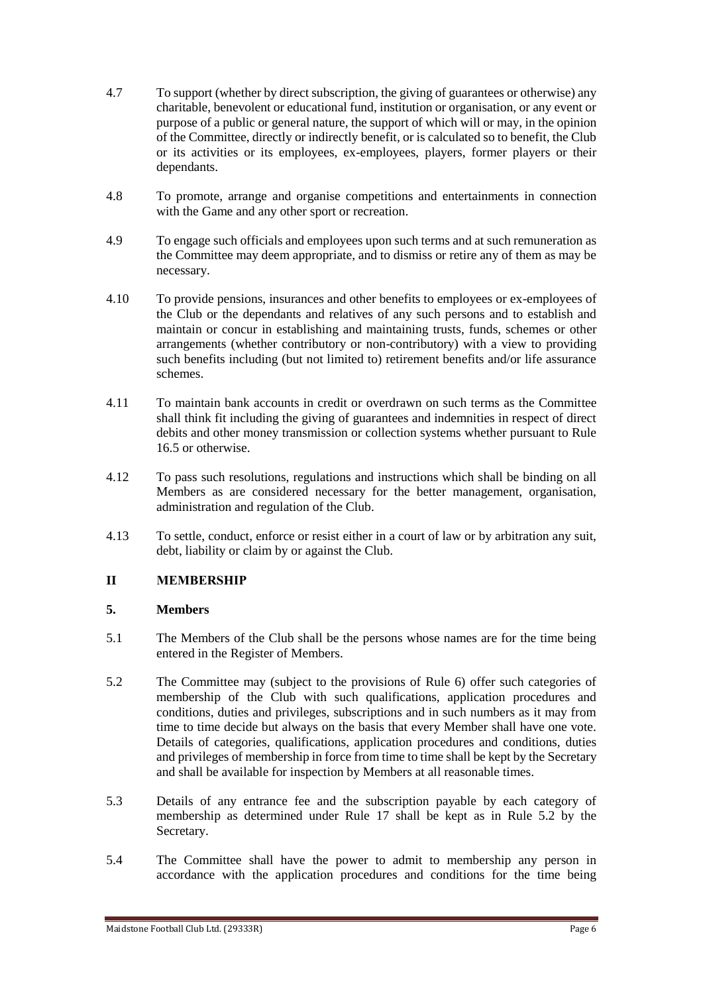- 4.7 To support (whether by direct subscription, the giving of guarantees or otherwise) any charitable, benevolent or educational fund, institution or organisation, or any event or purpose of a public or general nature, the support of which will or may, in the opinion of the Committee, directly or indirectly benefit, or is calculated so to benefit, the Club or its activities or its employees, ex-employees, players, former players or their dependants.
- 4.8 To promote, arrange and organise competitions and entertainments in connection with the Game and any other sport or recreation.
- 4.9 To engage such officials and employees upon such terms and at such remuneration as the Committee may deem appropriate, and to dismiss or retire any of them as may be necessary.
- 4.10 To provide pensions, insurances and other benefits to employees or ex-employees of the Club or the dependants and relatives of any such persons and to establish and maintain or concur in establishing and maintaining trusts, funds, schemes or other arrangements (whether contributory or non-contributory) with a view to providing such benefits including (but not limited to) retirement benefits and/or life assurance schemes.
- 4.11 To maintain bank accounts in credit or overdrawn on such terms as the Committee shall think fit including the giving of guarantees and indemnities in respect of direct debits and other money transmission or collection systems whether pursuant to Rule 16.5 or otherwise.
- 4.12 To pass such resolutions, regulations and instructions which shall be binding on all Members as are considered necessary for the better management, organisation, administration and regulation of the Club.
- 4.13 To settle, conduct, enforce or resist either in a court of law or by arbitration any suit, debt, liability or claim by or against the Club.

### **II MEMBERSHIP**

### **5. Members**

- 5.1 The Members of the Club shall be the persons whose names are for the time being entered in the Register of Members.
- 5.2 The Committee may (subject to the provisions of Rule 6) offer such categories of membership of the Club with such qualifications, application procedures and conditions, duties and privileges, subscriptions and in such numbers as it may from time to time decide but always on the basis that every Member shall have one vote. Details of categories, qualifications, application procedures and conditions, duties and privileges of membership in force from time to time shall be kept by the Secretary and shall be available for inspection by Members at all reasonable times.
- 5.3 Details of any entrance fee and the subscription payable by each category of membership as determined under Rule 17 shall be kept as in Rule 5.2 by the Secretary.
- 5.4 The Committee shall have the power to admit to membership any person in accordance with the application procedures and conditions for the time being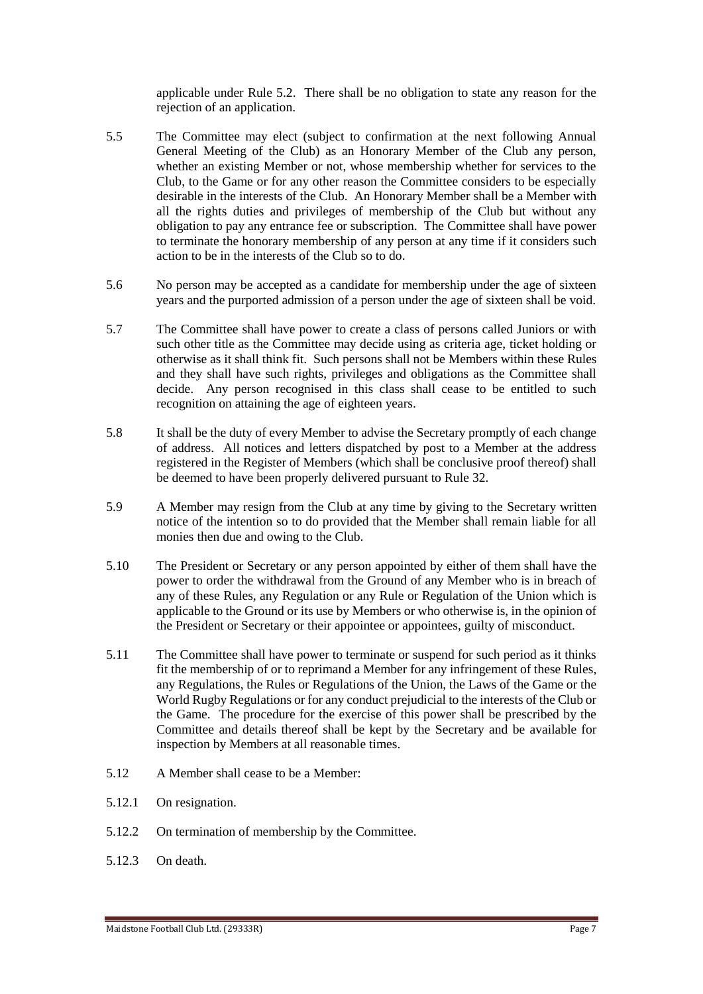applicable under Rule 5.2. There shall be no obligation to state any reason for the rejection of an application.

- 5.5 The Committee may elect (subject to confirmation at the next following Annual General Meeting of the Club) as an Honorary Member of the Club any person, whether an existing Member or not, whose membership whether for services to the Club, to the Game or for any other reason the Committee considers to be especially desirable in the interests of the Club. An Honorary Member shall be a Member with all the rights duties and privileges of membership of the Club but without any obligation to pay any entrance fee or subscription. The Committee shall have power to terminate the honorary membership of any person at any time if it considers such action to be in the interests of the Club so to do.
- 5.6 No person may be accepted as a candidate for membership under the age of sixteen years and the purported admission of a person under the age of sixteen shall be void.
- 5.7 The Committee shall have power to create a class of persons called Juniors or with such other title as the Committee may decide using as criteria age, ticket holding or otherwise as it shall think fit. Such persons shall not be Members within these Rules and they shall have such rights, privileges and obligations as the Committee shall decide. Any person recognised in this class shall cease to be entitled to such recognition on attaining the age of eighteen years.
- 5.8 It shall be the duty of every Member to advise the Secretary promptly of each change of address. All notices and letters dispatched by post to a Member at the address registered in the Register of Members (which shall be conclusive proof thereof) shall be deemed to have been properly delivered pursuant to Rule 32.
- 5.9 A Member may resign from the Club at any time by giving to the Secretary written notice of the intention so to do provided that the Member shall remain liable for all monies then due and owing to the Club.
- 5.10 The President or Secretary or any person appointed by either of them shall have the power to order the withdrawal from the Ground of any Member who is in breach of any of these Rules, any Regulation or any Rule or Regulation of the Union which is applicable to the Ground or its use by Members or who otherwise is, in the opinion of the President or Secretary or their appointee or appointees, guilty of misconduct.
- 5.11 The Committee shall have power to terminate or suspend for such period as it thinks fit the membership of or to reprimand a Member for any infringement of these Rules, any Regulations, the Rules or Regulations of the Union, the Laws of the Game or the World Rugby Regulations or for any conduct prejudicial to the interests of the Club or the Game. The procedure for the exercise of this power shall be prescribed by the Committee and details thereof shall be kept by the Secretary and be available for inspection by Members at all reasonable times.
- 5.12 A Member shall cease to be a Member:
- 5.12.1 On resignation.
- 5.12.2 On termination of membership by the Committee.
- 5.12.3 On death.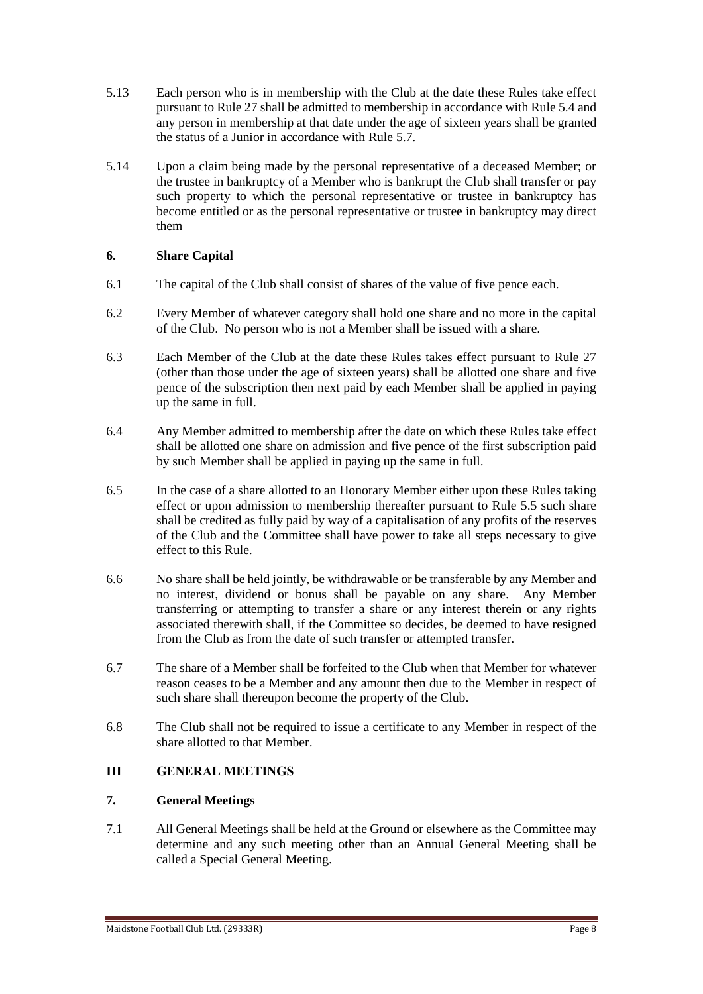- 5.13 Each person who is in membership with the Club at the date these Rules take effect pursuant to Rule 27 shall be admitted to membership in accordance with Rule 5.4 and any person in membership at that date under the age of sixteen years shall be granted the status of a Junior in accordance with Rule 5.7.
- 5.14 Upon a claim being made by the personal representative of a deceased Member; or the trustee in bankruptcy of a Member who is bankrupt the Club shall transfer or pay such property to which the personal representative or trustee in bankruptcy has become entitled or as the personal representative or trustee in bankruptcy may direct them

## **6. Share Capital**

- 6.1 The capital of the Club shall consist of shares of the value of five pence each.
- 6.2 Every Member of whatever category shall hold one share and no more in the capital of the Club. No person who is not a Member shall be issued with a share.
- 6.3 Each Member of the Club at the date these Rules takes effect pursuant to Rule 27 (other than those under the age of sixteen years) shall be allotted one share and five pence of the subscription then next paid by each Member shall be applied in paying up the same in full.
- 6.4 Any Member admitted to membership after the date on which these Rules take effect shall be allotted one share on admission and five pence of the first subscription paid by such Member shall be applied in paying up the same in full.
- 6.5 In the case of a share allotted to an Honorary Member either upon these Rules taking effect or upon admission to membership thereafter pursuant to Rule 5.5 such share shall be credited as fully paid by way of a capitalisation of any profits of the reserves of the Club and the Committee shall have power to take all steps necessary to give effect to this Rule.
- 6.6 No share shall be held jointly, be withdrawable or be transferable by any Member and no interest, dividend or bonus shall be payable on any share. Any Member transferring or attempting to transfer a share or any interest therein or any rights associated therewith shall, if the Committee so decides, be deemed to have resigned from the Club as from the date of such transfer or attempted transfer.
- 6.7 The share of a Member shall be forfeited to the Club when that Member for whatever reason ceases to be a Member and any amount then due to the Member in respect of such share shall thereupon become the property of the Club.
- 6.8 The Club shall not be required to issue a certificate to any Member in respect of the share allotted to that Member.

### **III GENERAL MEETINGS**

### **7. General Meetings**

7.1 All General Meetings shall be held at the Ground or elsewhere as the Committee may determine and any such meeting other than an Annual General Meeting shall be called a Special General Meeting.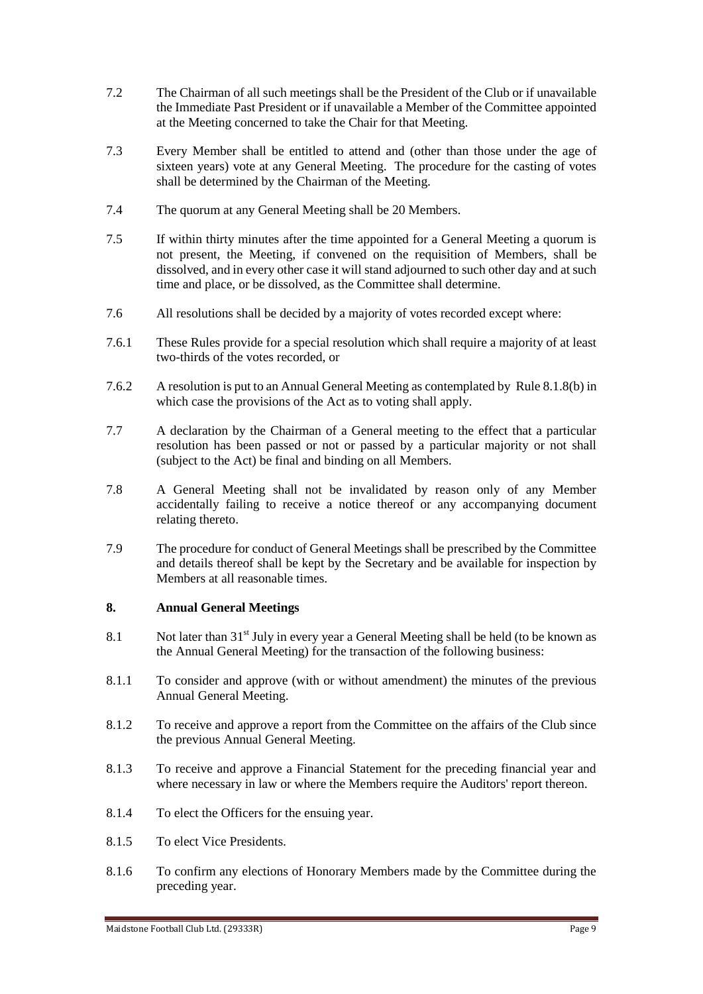- 7.2 The Chairman of all such meetings shall be the President of the Club or if unavailable the Immediate Past President or if unavailable a Member of the Committee appointed at the Meeting concerned to take the Chair for that Meeting.
- 7.3 Every Member shall be entitled to attend and (other than those under the age of sixteen years) vote at any General Meeting. The procedure for the casting of votes shall be determined by the Chairman of the Meeting.
- 7.4 The quorum at any General Meeting shall be 20 Members.
- 7.5 If within thirty minutes after the time appointed for a General Meeting a quorum is not present, the Meeting, if convened on the requisition of Members, shall be dissolved, and in every other case it will stand adjourned to such other day and at such time and place, or be dissolved, as the Committee shall determine.
- 7.6 All resolutions shall be decided by a majority of votes recorded except where:
- 7.6.1 These Rules provide for a special resolution which shall require a majority of at least two-thirds of the votes recorded, or
- 7.6.2 A resolution is put to an Annual General Meeting as contemplated by Rule 8.1.8(b) in which case the provisions of the Act as to voting shall apply.
- 7.7 A declaration by the Chairman of a General meeting to the effect that a particular resolution has been passed or not or passed by a particular majority or not shall (subject to the Act) be final and binding on all Members.
- 7.8 A General Meeting shall not be invalidated by reason only of any Member accidentally failing to receive a notice thereof or any accompanying document relating thereto.
- 7.9 The procedure for conduct of General Meetings shall be prescribed by the Committee and details thereof shall be kept by the Secretary and be available for inspection by Members at all reasonable times.

### **8. Annual General Meetings**

- 8.1 Not later than 31<sup>st</sup> July in every year a General Meeting shall be held (to be known as the Annual General Meeting) for the transaction of the following business:
- 8.1.1 To consider and approve (with or without amendment) the minutes of the previous Annual General Meeting.
- 8.1.2 To receive and approve a report from the Committee on the affairs of the Club since the previous Annual General Meeting.
- 8.1.3 To receive and approve a Financial Statement for the preceding financial year and where necessary in law or where the Members require the Auditors' report thereon.
- 8.1.4 To elect the Officers for the ensuing year.
- 8.1.5 To elect Vice Presidents.
- 8.1.6 To confirm any elections of Honorary Members made by the Committee during the preceding year.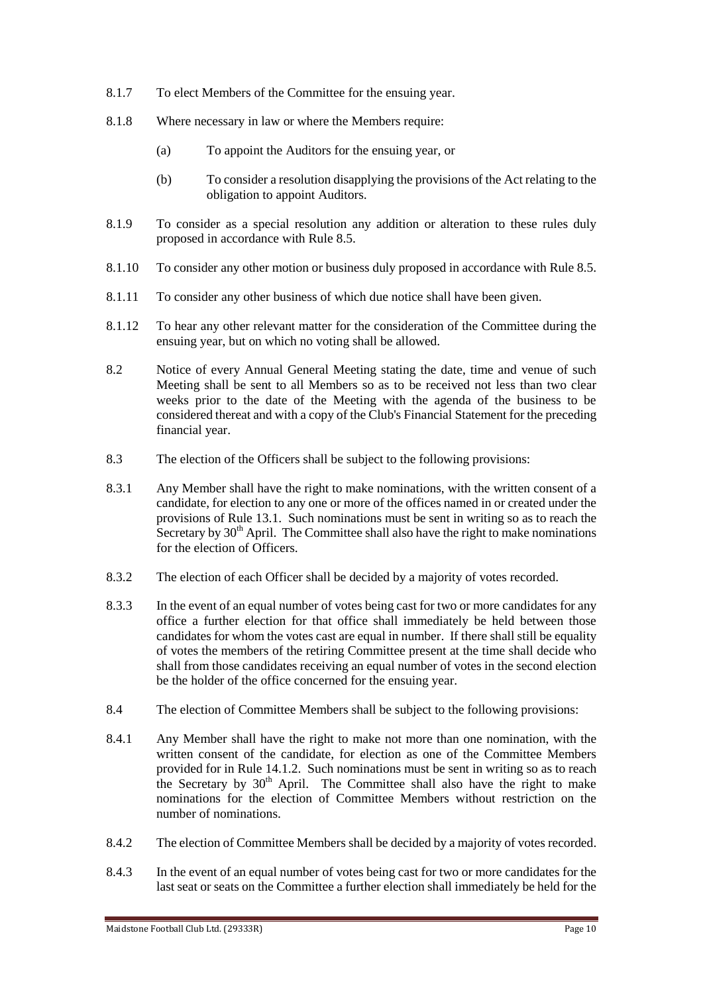- 8.1.7 To elect Members of the Committee for the ensuing year.
- 8.1.8 Where necessary in law or where the Members require:
	- (a) To appoint the Auditors for the ensuing year, or
	- (b) To consider a resolution disapplying the provisions of the Act relating to the obligation to appoint Auditors.
- 8.1.9 To consider as a special resolution any addition or alteration to these rules duly proposed in accordance with Rule 8.5.
- 8.1.10 To consider any other motion or business duly proposed in accordance with Rule 8.5.
- 8.1.11 To consider any other business of which due notice shall have been given.
- 8.1.12 To hear any other relevant matter for the consideration of the Committee during the ensuing year, but on which no voting shall be allowed.
- 8.2 Notice of every Annual General Meeting stating the date, time and venue of such Meeting shall be sent to all Members so as to be received not less than two clear weeks prior to the date of the Meeting with the agenda of the business to be considered thereat and with a copy of the Club's Financial Statement for the preceding financial year.
- 8.3 The election of the Officers shall be subject to the following provisions:
- 8.3.1 Any Member shall have the right to make nominations, with the written consent of a candidate, for election to any one or more of the offices named in or created under the provisions of Rule 13.1. Such nominations must be sent in writing so as to reach the Secretary by  $30<sup>th</sup>$  April. The Committee shall also have the right to make nominations for the election of Officers.
- 8.3.2 The election of each Officer shall be decided by a majority of votes recorded.
- 8.3.3 In the event of an equal number of votes being cast for two or more candidates for any office a further election for that office shall immediately be held between those candidates for whom the votes cast are equal in number. If there shall still be equality of votes the members of the retiring Committee present at the time shall decide who shall from those candidates receiving an equal number of votes in the second election be the holder of the office concerned for the ensuing year.
- 8.4 The election of Committee Members shall be subject to the following provisions:
- 8.4.1 Any Member shall have the right to make not more than one nomination, with the written consent of the candidate, for election as one of the Committee Members provided for in Rule 14.1.2. Such nominations must be sent in writing so as to reach the Secretary by  $30<sup>th</sup>$  April. The Committee shall also have the right to make nominations for the election of Committee Members without restriction on the number of nominations.
- 8.4.2 The election of Committee Members shall be decided by a majority of votes recorded.
- 8.4.3 In the event of an equal number of votes being cast for two or more candidates for the last seat or seats on the Committee a further election shall immediately be held for the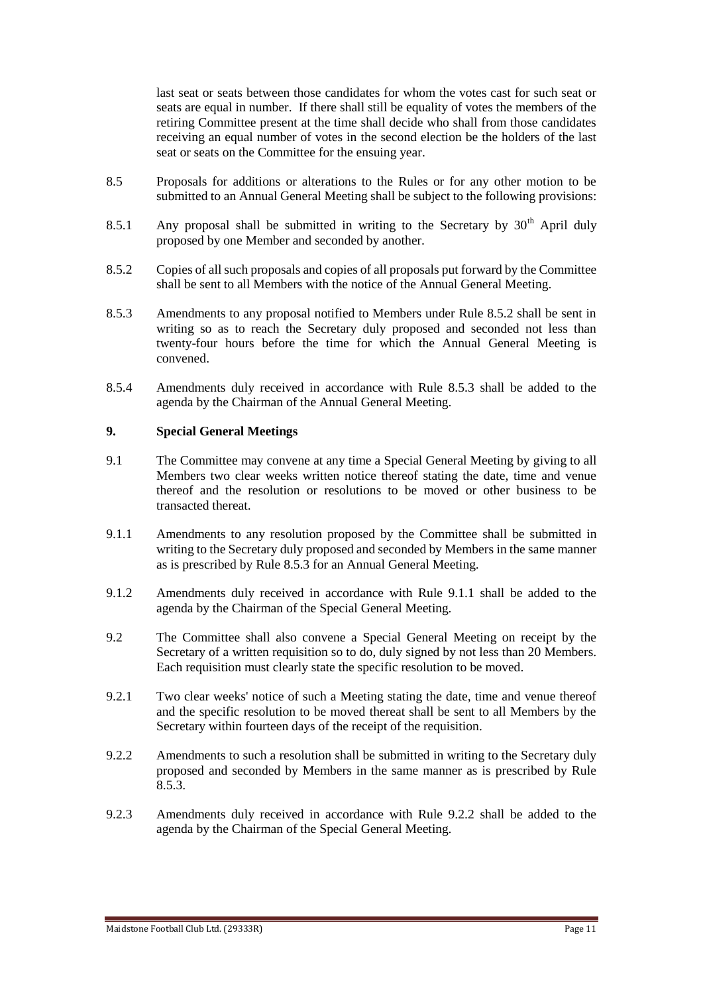last seat or seats between those candidates for whom the votes cast for such seat or seats are equal in number. If there shall still be equality of votes the members of the retiring Committee present at the time shall decide who shall from those candidates receiving an equal number of votes in the second election be the holders of the last seat or seats on the Committee for the ensuing year.

- 8.5 Proposals for additions or alterations to the Rules or for any other motion to be submitted to an Annual General Meeting shall be subject to the following provisions:
- 8.5.1 Any proposal shall be submitted in writing to the Secretary by  $30<sup>th</sup>$  April duly proposed by one Member and seconded by another.
- 8.5.2 Copies of all such proposals and copies of all proposals put forward by the Committee shall be sent to all Members with the notice of the Annual General Meeting.
- 8.5.3 Amendments to any proposal notified to Members under Rule 8.5.2 shall be sent in writing so as to reach the Secretary duly proposed and seconded not less than twenty-four hours before the time for which the Annual General Meeting is convened.
- 8.5.4 Amendments duly received in accordance with Rule 8.5.3 shall be added to the agenda by the Chairman of the Annual General Meeting.

### **9. Special General Meetings**

- 9.1 The Committee may convene at any time a Special General Meeting by giving to all Members two clear weeks written notice thereof stating the date, time and venue thereof and the resolution or resolutions to be moved or other business to be transacted thereat.
- 9.1.1 Amendments to any resolution proposed by the Committee shall be submitted in writing to the Secretary duly proposed and seconded by Members in the same manner as is prescribed by Rule 8.5.3 for an Annual General Meeting.
- 9.1.2 Amendments duly received in accordance with Rule 9.1.1 shall be added to the agenda by the Chairman of the Special General Meeting.
- 9.2 The Committee shall also convene a Special General Meeting on receipt by the Secretary of a written requisition so to do, duly signed by not less than 20 Members. Each requisition must clearly state the specific resolution to be moved.
- 9.2.1 Two clear weeks' notice of such a Meeting stating the date, time and venue thereof and the specific resolution to be moved thereat shall be sent to all Members by the Secretary within fourteen days of the receipt of the requisition.
- 9.2.2 Amendments to such a resolution shall be submitted in writing to the Secretary duly proposed and seconded by Members in the same manner as is prescribed by Rule 8.5.3.
- 9.2.3 Amendments duly received in accordance with Rule 9.2.2 shall be added to the agenda by the Chairman of the Special General Meeting.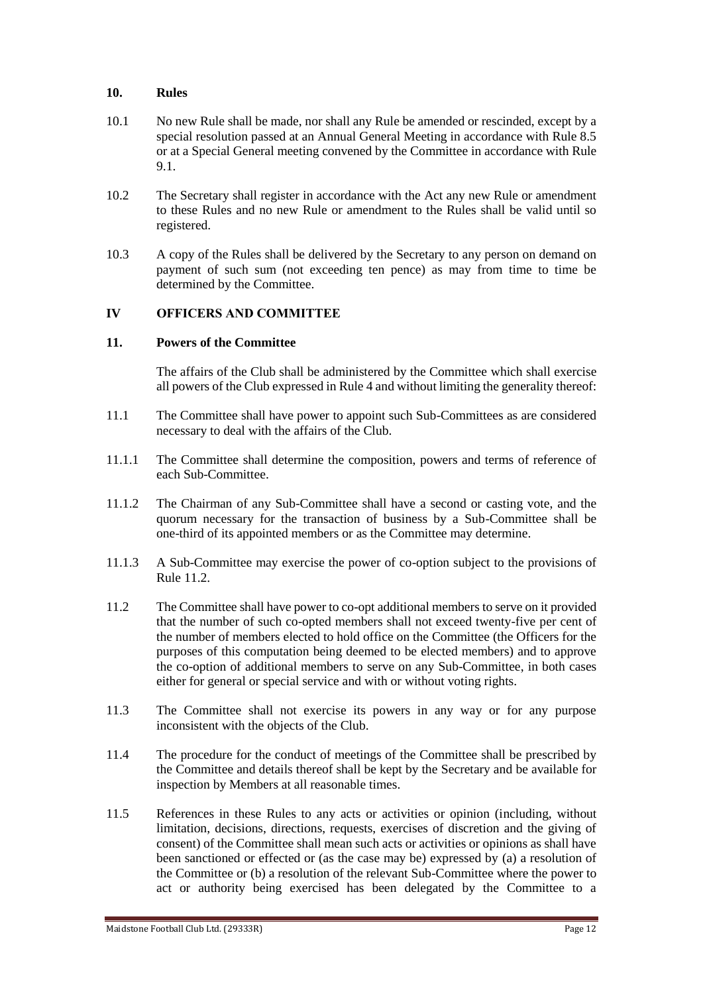### **10. Rules**

- 10.1 No new Rule shall be made, nor shall any Rule be amended or rescinded, except by a special resolution passed at an Annual General Meeting in accordance with Rule 8.5 or at a Special General meeting convened by the Committee in accordance with Rule 9.1.
- 10.2 The Secretary shall register in accordance with the Act any new Rule or amendment to these Rules and no new Rule or amendment to the Rules shall be valid until so registered.
- 10.3 A copy of the Rules shall be delivered by the Secretary to any person on demand on payment of such sum (not exceeding ten pence) as may from time to time be determined by the Committee.

### **IV OFFICERS AND COMMITTEE**

### **11. Powers of the Committee**

The affairs of the Club shall be administered by the Committee which shall exercise all powers of the Club expressed in Rule 4 and without limiting the generality thereof:

- 11.1 The Committee shall have power to appoint such Sub-Committees as are considered necessary to deal with the affairs of the Club.
- 11.1.1 The Committee shall determine the composition, powers and terms of reference of each Sub-Committee.
- 11.1.2 The Chairman of any Sub-Committee shall have a second or casting vote, and the quorum necessary for the transaction of business by a Sub-Committee shall be one-third of its appointed members or as the Committee may determine.
- 11.1.3 A Sub-Committee may exercise the power of co-option subject to the provisions of Rule  $11.2<sup>2</sup>$
- 11.2 The Committee shall have power to co-opt additional members to serve on it provided that the number of such co-opted members shall not exceed twenty-five per cent of the number of members elected to hold office on the Committee (the Officers for the purposes of this computation being deemed to be elected members) and to approve the co-option of additional members to serve on any Sub-Committee, in both cases either for general or special service and with or without voting rights.
- 11.3 The Committee shall not exercise its powers in any way or for any purpose inconsistent with the objects of the Club.
- 11.4 The procedure for the conduct of meetings of the Committee shall be prescribed by the Committee and details thereof shall be kept by the Secretary and be available for inspection by Members at all reasonable times.
- 11.5 References in these Rules to any acts or activities or opinion (including, without limitation, decisions, directions, requests, exercises of discretion and the giving of consent) of the Committee shall mean such acts or activities or opinions as shall have been sanctioned or effected or (as the case may be) expressed by (a) a resolution of the Committee or (b) a resolution of the relevant Sub-Committee where the power to act or authority being exercised has been delegated by the Committee to a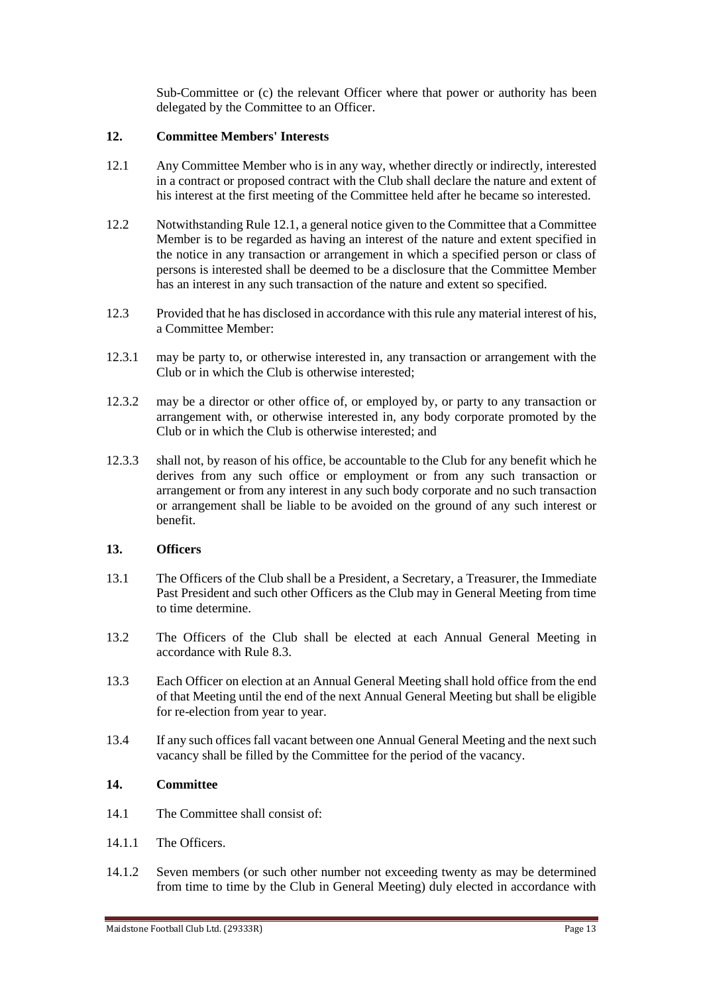Sub-Committee or (c) the relevant Officer where that power or authority has been delegated by the Committee to an Officer.

### **12. Committee Members' Interests**

- 12.1 Any Committee Member who is in any way, whether directly or indirectly, interested in a contract or proposed contract with the Club shall declare the nature and extent of his interest at the first meeting of the Committee held after he became so interested.
- 12.2 Notwithstanding Rule 12.1, a general notice given to the Committee that a Committee Member is to be regarded as having an interest of the nature and extent specified in the notice in any transaction or arrangement in which a specified person or class of persons is interested shall be deemed to be a disclosure that the Committee Member has an interest in any such transaction of the nature and extent so specified.
- 12.3 Provided that he has disclosed in accordance with this rule any material interest of his, a Committee Member:
- 12.3.1 may be party to, or otherwise interested in, any transaction or arrangement with the Club or in which the Club is otherwise interested;
- 12.3.2 may be a director or other office of, or employed by, or party to any transaction or arrangement with, or otherwise interested in, any body corporate promoted by the Club or in which the Club is otherwise interested; and
- 12.3.3 shall not, by reason of his office, be accountable to the Club for any benefit which he derives from any such office or employment or from any such transaction or arrangement or from any interest in any such body corporate and no such transaction or arrangement shall be liable to be avoided on the ground of any such interest or benefit.

### **13. Officers**

- 13.1 The Officers of the Club shall be a President, a Secretary, a Treasurer, the Immediate Past President and such other Officers as the Club may in General Meeting from time to time determine.
- 13.2 The Officers of the Club shall be elected at each Annual General Meeting in accordance with Rule 8.3.
- 13.3 Each Officer on election at an Annual General Meeting shall hold office from the end of that Meeting until the end of the next Annual General Meeting but shall be eligible for re-election from year to year.
- 13.4 If any such offices fall vacant between one Annual General Meeting and the next such vacancy shall be filled by the Committee for the period of the vacancy.

#### **14. Committee**

- 14.1 The Committee shall consist of
- 14.1.1 The Officers.
- 14.1.2 Seven members (or such other number not exceeding twenty as may be determined from time to time by the Club in General Meeting) duly elected in accordance with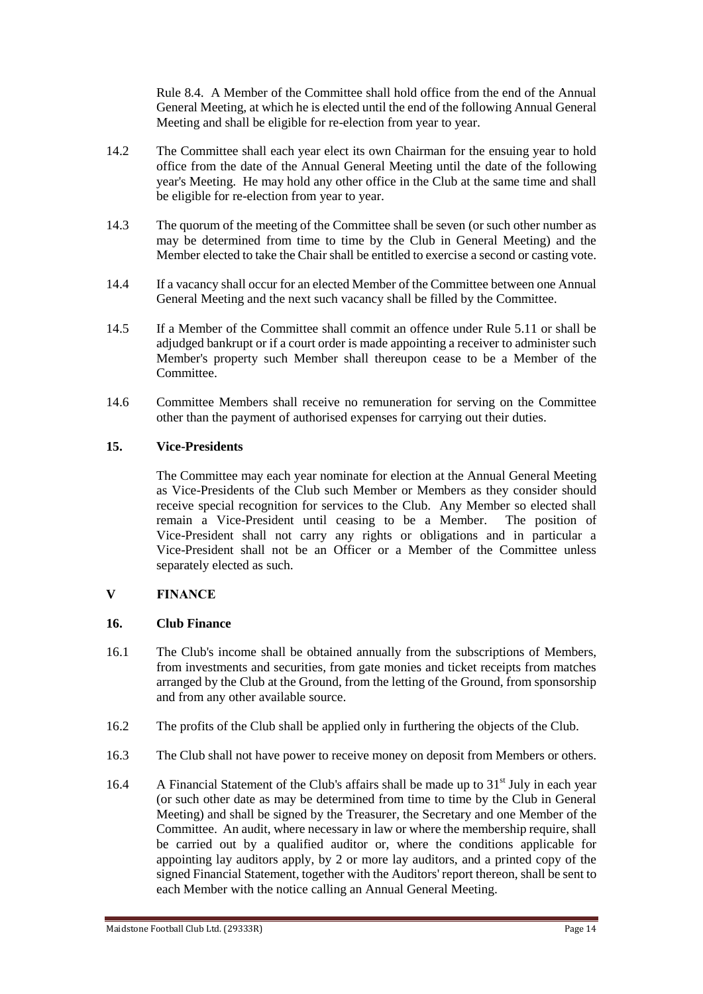Rule 8.4. A Member of the Committee shall hold office from the end of the Annual General Meeting, at which he is elected until the end of the following Annual General Meeting and shall be eligible for re-election from year to year.

- 14.2 The Committee shall each year elect its own Chairman for the ensuing year to hold office from the date of the Annual General Meeting until the date of the following year's Meeting. He may hold any other office in the Club at the same time and shall be eligible for re-election from year to year.
- 14.3 The quorum of the meeting of the Committee shall be seven (or such other number as may be determined from time to time by the Club in General Meeting) and the Member elected to take the Chair shall be entitled to exercise a second or casting vote.
- 14.4 If a vacancy shall occur for an elected Member of the Committee between one Annual General Meeting and the next such vacancy shall be filled by the Committee.
- 14.5 If a Member of the Committee shall commit an offence under Rule 5.11 or shall be adjudged bankrupt or if a court order is made appointing a receiver to administer such Member's property such Member shall thereupon cease to be a Member of the Committee.
- 14.6 Committee Members shall receive no remuneration for serving on the Committee other than the payment of authorised expenses for carrying out their duties.

### **15. Vice-Presidents**

The Committee may each year nominate for election at the Annual General Meeting as Vice-Presidents of the Club such Member or Members as they consider should receive special recognition for services to the Club. Any Member so elected shall remain a Vice-President until ceasing to be a Member. The position of Vice-President shall not carry any rights or obligations and in particular a Vice-President shall not be an Officer or a Member of the Committee unless separately elected as such.

#### **V FINANCE**

#### **16. Club Finance**

- 16.1 The Club's income shall be obtained annually from the subscriptions of Members, from investments and securities, from gate monies and ticket receipts from matches arranged by the Club at the Ground, from the letting of the Ground, from sponsorship and from any other available source.
- 16.2 The profits of the Club shall be applied only in furthering the objects of the Club.
- 16.3 The Club shall not have power to receive money on deposit from Members or others.
- 16.4 A Financial Statement of the Club's affairs shall be made up to 31<sup>st</sup> July in each year (or such other date as may be determined from time to time by the Club in General Meeting) and shall be signed by the Treasurer, the Secretary and one Member of the Committee. An audit, where necessary in law or where the membership require, shall be carried out by a qualified auditor or, where the conditions applicable for appointing lay auditors apply, by 2 or more lay auditors, and a printed copy of the signed Financial Statement, together with the Auditors' report thereon, shall be sent to each Member with the notice calling an Annual General Meeting.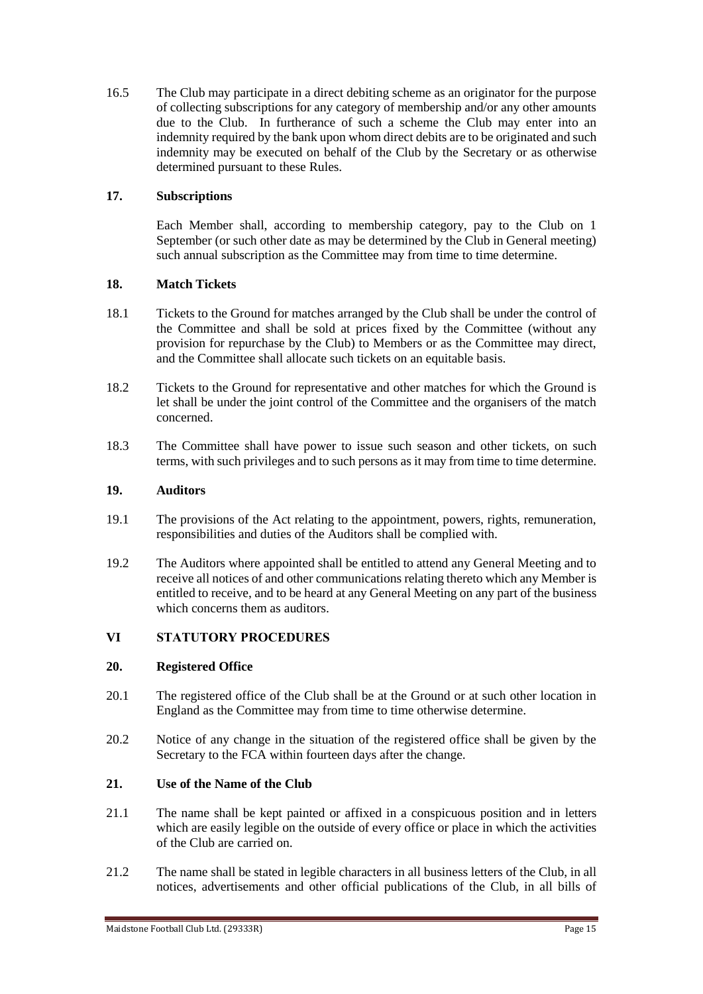16.5 The Club may participate in a direct debiting scheme as an originator for the purpose of collecting subscriptions for any category of membership and/or any other amounts due to the Club. In furtherance of such a scheme the Club may enter into an indemnity required by the bank upon whom direct debits are to be originated and such indemnity may be executed on behalf of the Club by the Secretary or as otherwise determined pursuant to these Rules.

## **17. Subscriptions**

Each Member shall, according to membership category, pay to the Club on 1 September (or such other date as may be determined by the Club in General meeting) such annual subscription as the Committee may from time to time determine.

### **18. Match Tickets**

- 18.1 Tickets to the Ground for matches arranged by the Club shall be under the control of the Committee and shall be sold at prices fixed by the Committee (without any provision for repurchase by the Club) to Members or as the Committee may direct, and the Committee shall allocate such tickets on an equitable basis.
- 18.2 Tickets to the Ground for representative and other matches for which the Ground is let shall be under the joint control of the Committee and the organisers of the match concerned.
- 18.3 The Committee shall have power to issue such season and other tickets, on such terms, with such privileges and to such persons as it may from time to time determine.

### **19. Auditors**

- 19.1 The provisions of the Act relating to the appointment, powers, rights, remuneration, responsibilities and duties of the Auditors shall be complied with.
- 19.2 The Auditors where appointed shall be entitled to attend any General Meeting and to receive all notices of and other communications relating thereto which any Member is entitled to receive, and to be heard at any General Meeting on any part of the business which concerns them as auditors.

## **VI STATUTORY PROCEDURES**

### **20. Registered Office**

- 20.1 The registered office of the Club shall be at the Ground or at such other location in England as the Committee may from time to time otherwise determine.
- 20.2 Notice of any change in the situation of the registered office shall be given by the Secretary to the FCA within fourteen days after the change.

### **21. Use of the Name of the Club**

- 21.1 The name shall be kept painted or affixed in a conspicuous position and in letters which are easily legible on the outside of every office or place in which the activities of the Club are carried on.
- 21.2 The name shall be stated in legible characters in all business letters of the Club, in all notices, advertisements and other official publications of the Club, in all bills of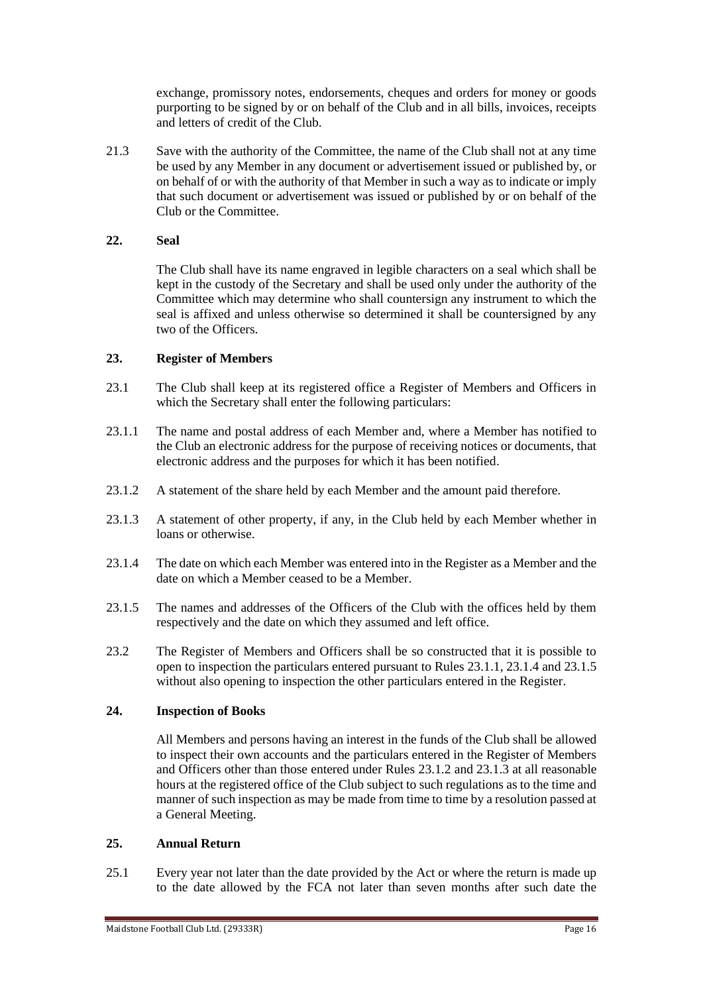exchange, promissory notes, endorsements, cheques and orders for money or goods purporting to be signed by or on behalf of the Club and in all bills, invoices, receipts and letters of credit of the Club.

21.3 Save with the authority of the Committee, the name of the Club shall not at any time be used by any Member in any document or advertisement issued or published by, or on behalf of or with the authority of that Member in such a way as to indicate or imply that such document or advertisement was issued or published by or on behalf of the Club or the Committee.

### **22. Seal**

The Club shall have its name engraved in legible characters on a seal which shall be kept in the custody of the Secretary and shall be used only under the authority of the Committee which may determine who shall countersign any instrument to which the seal is affixed and unless otherwise so determined it shall be countersigned by any two of the Officers.

### **23. Register of Members**

- 23.1 The Club shall keep at its registered office a Register of Members and Officers in which the Secretary shall enter the following particulars:
- 23.1.1 The name and postal address of each Member and, where a Member has notified to the Club an electronic address for the purpose of receiving notices or documents, that electronic address and the purposes for which it has been notified.
- 23.1.2 A statement of the share held by each Member and the amount paid therefore.
- 23.1.3 A statement of other property, if any, in the Club held by each Member whether in loans or otherwise.
- 23.1.4 The date on which each Member was entered into in the Register as a Member and the date on which a Member ceased to be a Member.
- 23.1.5 The names and addresses of the Officers of the Club with the offices held by them respectively and the date on which they assumed and left office.
- 23.2 The Register of Members and Officers shall be so constructed that it is possible to open to inspection the particulars entered pursuant to Rules 23.1.1, 23.1.4 and 23.1.5 without also opening to inspection the other particulars entered in the Register.

### **24. Inspection of Books**

All Members and persons having an interest in the funds of the Club shall be allowed to inspect their own accounts and the particulars entered in the Register of Members and Officers other than those entered under Rules 23.1.2 and 23.1.3 at all reasonable hours at the registered office of the Club subject to such regulations as to the time and manner of such inspection as may be made from time to time by a resolution passed at a General Meeting.

#### **25. Annual Return**

25.1 Every year not later than the date provided by the Act or where the return is made up to the date allowed by the FCA not later than seven months after such date the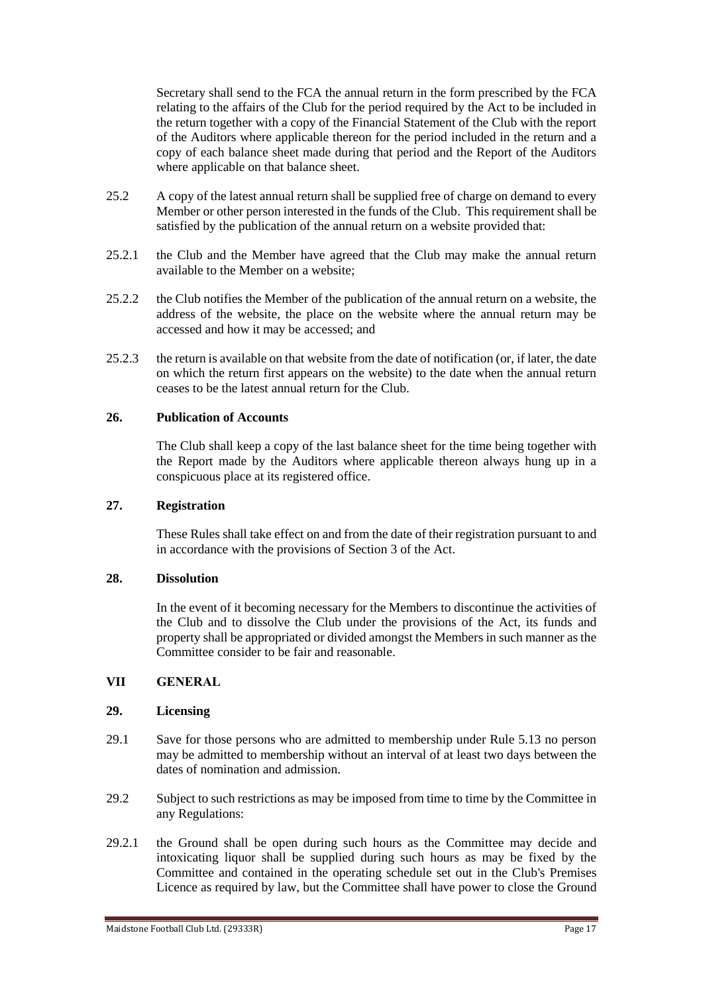Secretary shall send to the FCA the annual return in the form prescribed by the FCA relating to the affairs of the Club for the period required by the Act to be included in the return together with a copy of the Financial Statement of the Club with the report of the Auditors where applicable thereon for the period included in the return and a copy of each balance sheet made during that period and the Report of the Auditors where applicable on that balance sheet.

- 25.2 A copy of the latest annual return shall be supplied free of charge on demand to every Member or other person interested in the funds of the Club. This requirement shall be satisfied by the publication of the annual return on a website provided that:
- 25.2.1 the Club and the Member have agreed that the Club may make the annual return available to the Member on a website;
- 25.2.2 the Club notifies the Member of the publication of the annual return on a website, the address of the website, the place on the website where the annual return may be accessed and how it may be accessed; and
- 25.2.3 the return is available on that website from the date of notification (or, if later, the date on which the return first appears on the website) to the date when the annual return ceases to be the latest annual return for the Club.

### **26. Publication of Accounts**

The Club shall keep a copy of the last balance sheet for the time being together with the Report made by the Auditors where applicable thereon always hung up in a conspicuous place at its registered office.

#### **27. Registration**

These Rules shall take effect on and from the date of their registration pursuant to and in accordance with the provisions of Section 3 of the Act.

#### **28. Dissolution**

In the event of it becoming necessary for the Members to discontinue the activities of the Club and to dissolve the Club under the provisions of the Act, its funds and property shall be appropriated or divided amongst the Members in such manner as the Committee consider to be fair and reasonable.

### **VII GENERAL**

#### **29. Licensing**

- 29.1 Save for those persons who are admitted to membership under Rule 5.13 no person may be admitted to membership without an interval of at least two days between the dates of nomination and admission.
- 29.2 Subject to such restrictions as may be imposed from time to time by the Committee in any Regulations:
- 29.2.1 the Ground shall be open during such hours as the Committee may decide and intoxicating liquor shall be supplied during such hours as may be fixed by the Committee and contained in the operating schedule set out in the Club's Premises Licence as required by law, but the Committee shall have power to close the Ground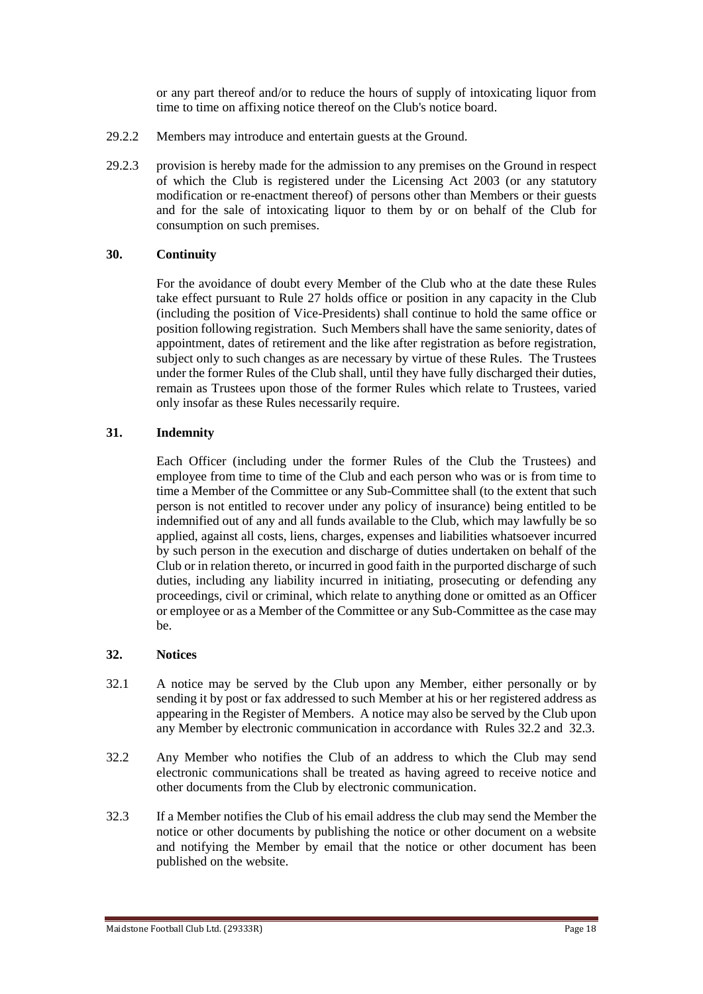or any part thereof and/or to reduce the hours of supply of intoxicating liquor from time to time on affixing notice thereof on the Club's notice board.

- 29.2.2 Members may introduce and entertain guests at the Ground.
- 29.2.3 provision is hereby made for the admission to any premises on the Ground in respect of which the Club is registered under the Licensing Act 2003 (or any statutory modification or re-enactment thereof) of persons other than Members or their guests and for the sale of intoxicating liquor to them by or on behalf of the Club for consumption on such premises.

### **30. Continuity**

For the avoidance of doubt every Member of the Club who at the date these Rules take effect pursuant to Rule 27 holds office or position in any capacity in the Club (including the position of Vice-Presidents) shall continue to hold the same office or position following registration. Such Members shall have the same seniority, dates of appointment, dates of retirement and the like after registration as before registration, subject only to such changes as are necessary by virtue of these Rules. The Trustees under the former Rules of the Club shall, until they have fully discharged their duties, remain as Trustees upon those of the former Rules which relate to Trustees, varied only insofar as these Rules necessarily require.

### **31. Indemnity**

Each Officer (including under the former Rules of the Club the Trustees) and employee from time to time of the Club and each person who was or is from time to time a Member of the Committee or any Sub-Committee shall (to the extent that such person is not entitled to recover under any policy of insurance) being entitled to be indemnified out of any and all funds available to the Club, which may lawfully be so applied, against all costs, liens, charges, expenses and liabilities whatsoever incurred by such person in the execution and discharge of duties undertaken on behalf of the Club or in relation thereto, or incurred in good faith in the purported discharge of such duties, including any liability incurred in initiating, prosecuting or defending any proceedings, civil or criminal, which relate to anything done or omitted as an Officer or employee or as a Member of the Committee or any Sub-Committee as the case may be.

#### **32. Notices**

- 32.1 A notice may be served by the Club upon any Member, either personally or by sending it by post or fax addressed to such Member at his or her registered address as appearing in the Register of Members. A notice may also be served by the Club upon any Member by electronic communication in accordance with Rules 32.2 and 32.3.
- 32.2 Any Member who notifies the Club of an address to which the Club may send electronic communications shall be treated as having agreed to receive notice and other documents from the Club by electronic communication.
- 32.3 If a Member notifies the Club of his email address the club may send the Member the notice or other documents by publishing the notice or other document on a website and notifying the Member by email that the notice or other document has been published on the website.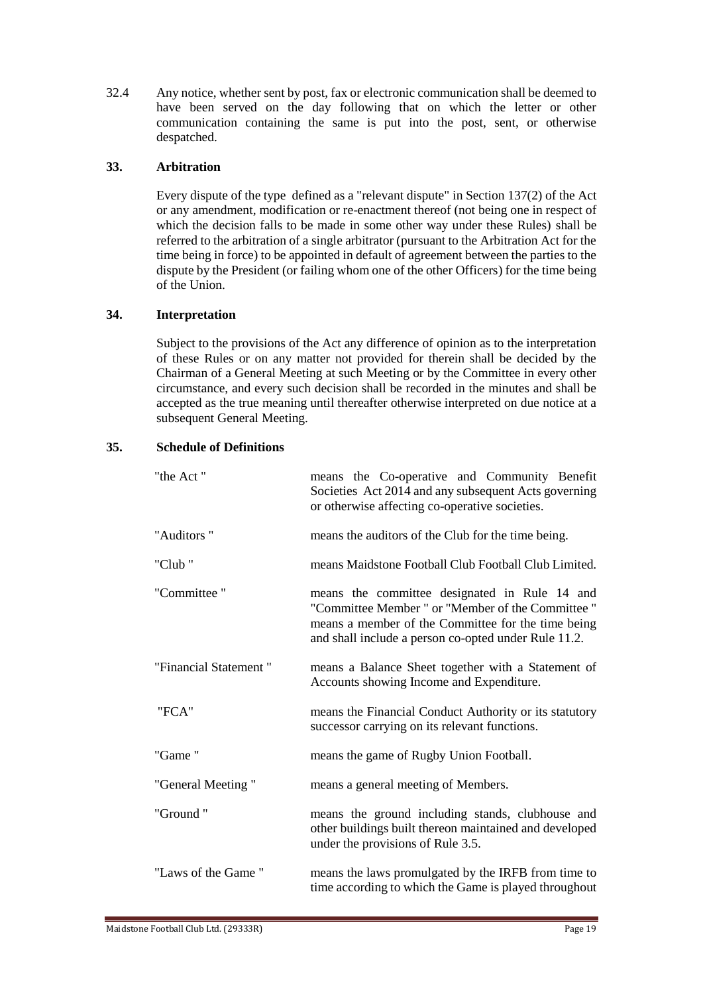32.4 Any notice, whether sent by post, fax or electronic communication shall be deemed to have been served on the day following that on which the letter or other communication containing the same is put into the post, sent, or otherwise despatched.

### **33. Arbitration**

Every dispute of the type defined as a "relevant dispute" in Section 137(2) of the Act or any amendment, modification or re-enactment thereof (not being one in respect of which the decision falls to be made in some other way under these Rules) shall be referred to the arbitration of a single arbitrator (pursuant to the Arbitration Act for the time being in force) to be appointed in default of agreement between the parties to the dispute by the President (or failing whom one of the other Officers) for the time being of the Union.

### **34. Interpretation**

Subject to the provisions of the Act any difference of opinion as to the interpretation of these Rules or on any matter not provided for therein shall be decided by the Chairman of a General Meeting at such Meeting or by the Committee in every other circumstance, and every such decision shall be recorded in the minutes and shall be accepted as the true meaning until thereafter otherwise interpreted on due notice at a subsequent General Meeting.

### **35. Schedule of Definitions**

| "the Act"             | means the Co-operative and Community Benefit<br>Societies Act 2014 and any subsequent Acts governing<br>or otherwise affecting co-operative societies.                                                           |  |
|-----------------------|------------------------------------------------------------------------------------------------------------------------------------------------------------------------------------------------------------------|--|
| "Auditors"            | means the auditors of the Club for the time being.                                                                                                                                                               |  |
| "Club"                | means Maidstone Football Club Football Club Limited.                                                                                                                                                             |  |
| "Committee"           | means the committee designated in Rule 14 and<br>"Committee Member " or "Member of the Committee "<br>means a member of the Committee for the time being<br>and shall include a person co-opted under Rule 11.2. |  |
| "Financial Statement" | means a Balance Sheet together with a Statement of<br>Accounts showing Income and Expenditure.                                                                                                                   |  |
| "FCA"                 | means the Financial Conduct Authority or its statutory<br>successor carrying on its relevant functions.                                                                                                          |  |
| "Game"                | means the game of Rugby Union Football.                                                                                                                                                                          |  |
| "General Meeting"     | means a general meeting of Members.                                                                                                                                                                              |  |
| "Ground"              | means the ground including stands, clubhouse and<br>other buildings built thereon maintained and developed<br>under the provisions of Rule 3.5.                                                                  |  |
| "Laws of the Game"    | means the laws promulgated by the IRFB from time to<br>time according to which the Game is played throughout                                                                                                     |  |